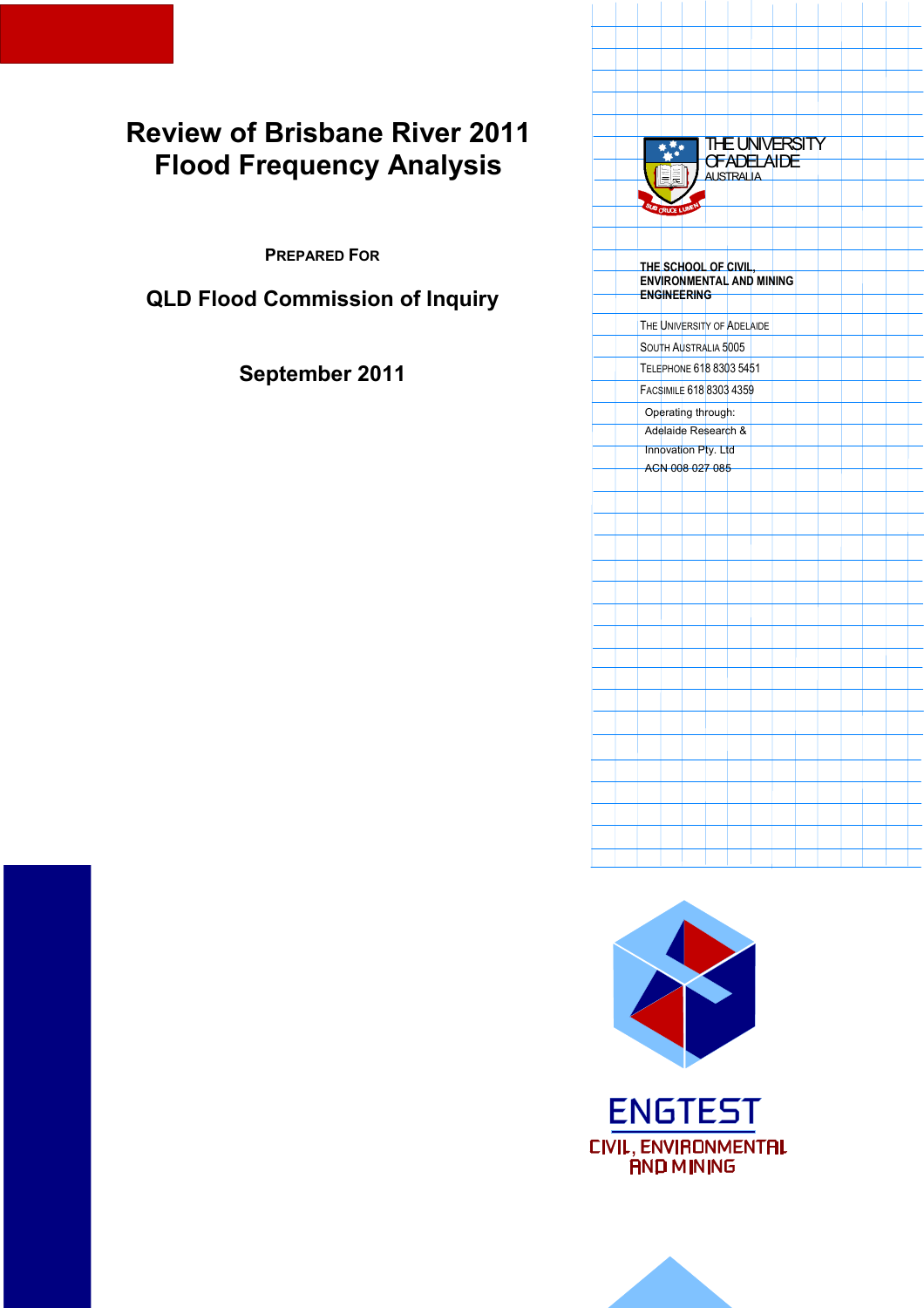# **Review of Brisbane River 2011 Flood Frequency Analysis**

**PREPARED FOR**

**QLD Flood Commission of Inquiry** 

**September 2011** 





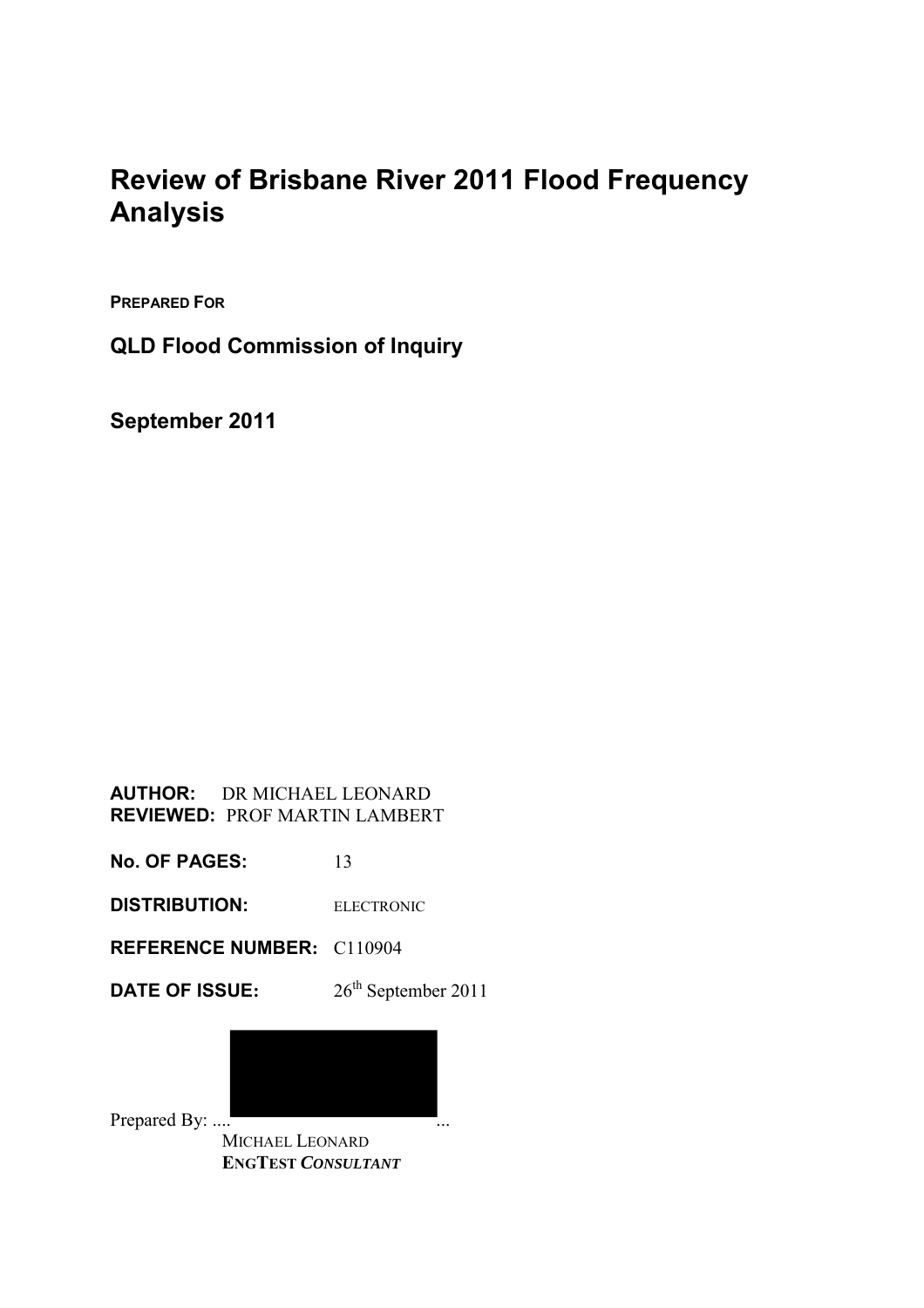# **Review of Brisbane River 2011 Flood Frequency Analysis**

**PREPARED FOR**

**QLD Flood Commission of Inquiry** 

**September 2011** 

#### **AUTHOR:** DR MICHAEL LEONARD **REVIEWED:** PROF MARTIN LAMBERT

**No. OF PAGES:** 13

**DISTRIBUTION:** ELECTRONIC

**REFERENCE NUMBER:** C110904

**DATE OF ISSUE:**  $26^{th}$  September 2011



 MICHAEL LEONARD  **ENGTEST** *CONSULTANT*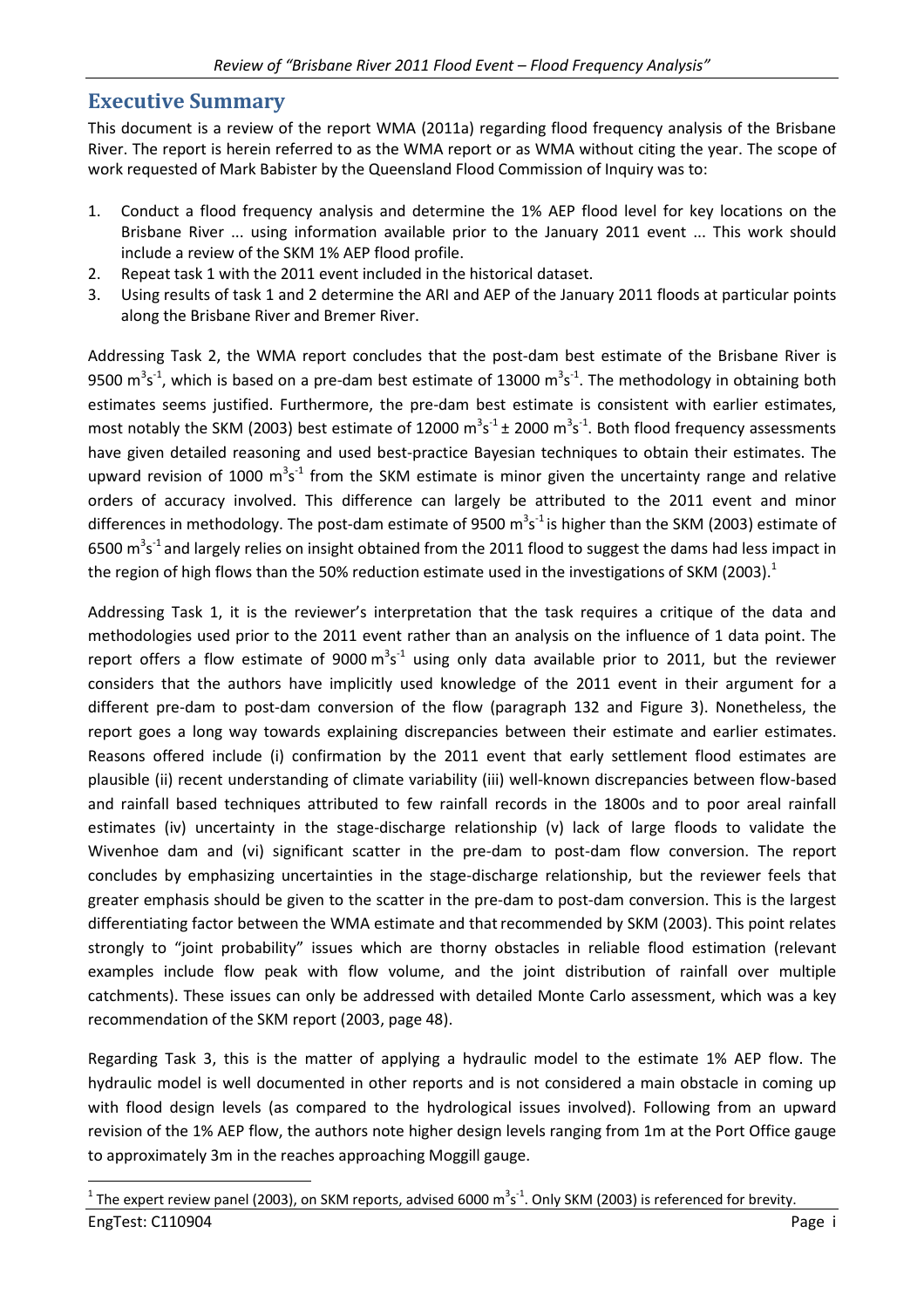### **Executive Summary**

l

This document is a review of the report WMA (2011a) regarding flood frequency analysis of the Brisbane River. The report is herein referred to as the WMA report or as WMA without citing the year. The scope of work requested of Mark Babister by the Queensland Flood Commission of Inquiry was to:

- 1. Conduct a flood frequency analysis and determine the 1% AEP flood level for key locations on the Brisbane River ... using information available prior to the January 2011 event ... This work should include a review of the SKM 1% AEP flood profile.
- 2. Repeat task 1 with the 2011 event included in the historical dataset.
- 3. Using results of task 1 and 2 determine the ARI and AEP of the January 2011 floods at particular points along the Brisbane River and Bremer River.

Addressing Task 2, the WMA report concludes that the post-dam best estimate of the Brisbane River is 9500 m<sup>3</sup>s<sup>-1</sup>, which is based on a pre-dam best estimate of 13000 m<sup>3</sup>s<sup>-1</sup>. The methodology in obtaining both estimates seems justified. Furthermore, the pre-dam best estimate is consistent with earlier estimates, most notably the SKM (2003) best estimate of 12000  $m^3s^{-1}$  ± 2000  $m^3s^{-1}$ . Both flood frequency assessments have given detailed reasoning and used best-practice Bayesian techniques to obtain their estimates. The upward revision of 1000  $m^3s^1$  from the SKM estimate is minor given the uncertainty range and relative orders of accuracy involved. This difference can largely be attributed to the 2011 event and minor differences in methodology. The post-dam estimate of 9500 m<sup>3</sup>s<sup>-1</sup> is higher than the SKM (2003) estimate of 6500  $\text{m}^3$ s<sup>-1</sup> and largely relies on insight obtained from the 2011 flood to suggest the dams had less impact in the region of high flows than the 50% reduction estimate used in the investigations of SKM (2003). $^1$ 

Addressing Task 1, it is the reviewer's interpretation that the task requires a critique of the data and methodologies used prior to the 2011 event rather than an analysis on the influence of 1 data point. The report offers a flow estimate of 9000  $m^3s^{-1}$  using only data available prior to 2011, but the reviewer considers that the authors have implicitly used knowledge of the 2011 event in their argument for a different pre-dam to post-dam conversion of the flow (paragraph 132 and Figure 3). Nonetheless, the report goes a long way towards explaining discrepancies between their estimate and earlier estimates. Reasons offered include (i) confirmation by the 2011 event that early settlement flood estimates are plausible (ii) recent understanding of climate variability (iii) well-known discrepancies between flow-based and rainfall based techniques attributed to few rainfall records in the 1800s and to poor areal rainfall estimates (iv) uncertainty in the stage-discharge relationship (v) lack of large floods to validate the Wivenhoe dam and (vi) significant scatter in the pre-dam to post-dam flow conversion. The report concludes by emphasizing uncertainties in the stage-discharge relationship, but the reviewer feels that greater emphasis should be given to the scatter in the pre-dam to post-dam conversion. This is the largest differentiating factor between the WMA estimate and that recommended by SKM (2003). This point relates strongly to "joint probability" issues which are thorny obstacles in reliable flood estimation (relevant examples include flow peak with flow volume, and the joint distribution of rainfall over multiple catchments). These issues can only be addressed with detailed Monte Carlo assessment, which was a key recommendation of the SKM report (2003, page 48).

Regarding Task 3, this is the matter of applying a hydraulic model to the estimate 1% AEP flow. The hydraulic model is well documented in other reports and is not considered a main obstacle in coming up with flood design levels (as compared to the hydrological issues involved). Following from an upward revision of the 1% AEP flow, the authors note higher design levels ranging from 1m at the Port Office gauge to approximately 3m in the reaches approaching Moggill gauge.

EngTest: C110904 Page i  $^1$  The expert review panel (2003), on SKM reports, advised 6000  $\rm m^3s^{\text{-}1}$ . Only SKM (2003) is referenced for brevity.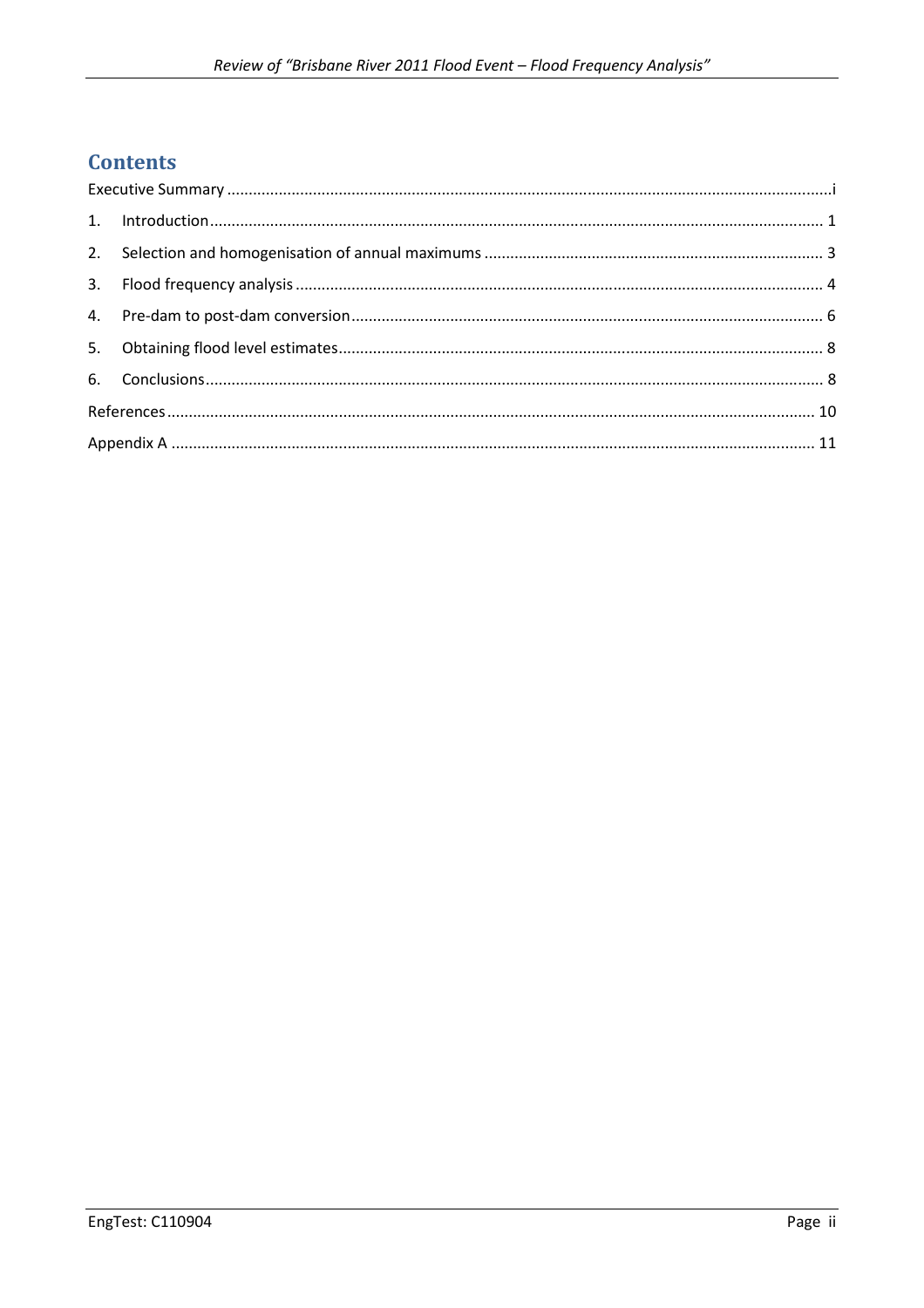# **Contents**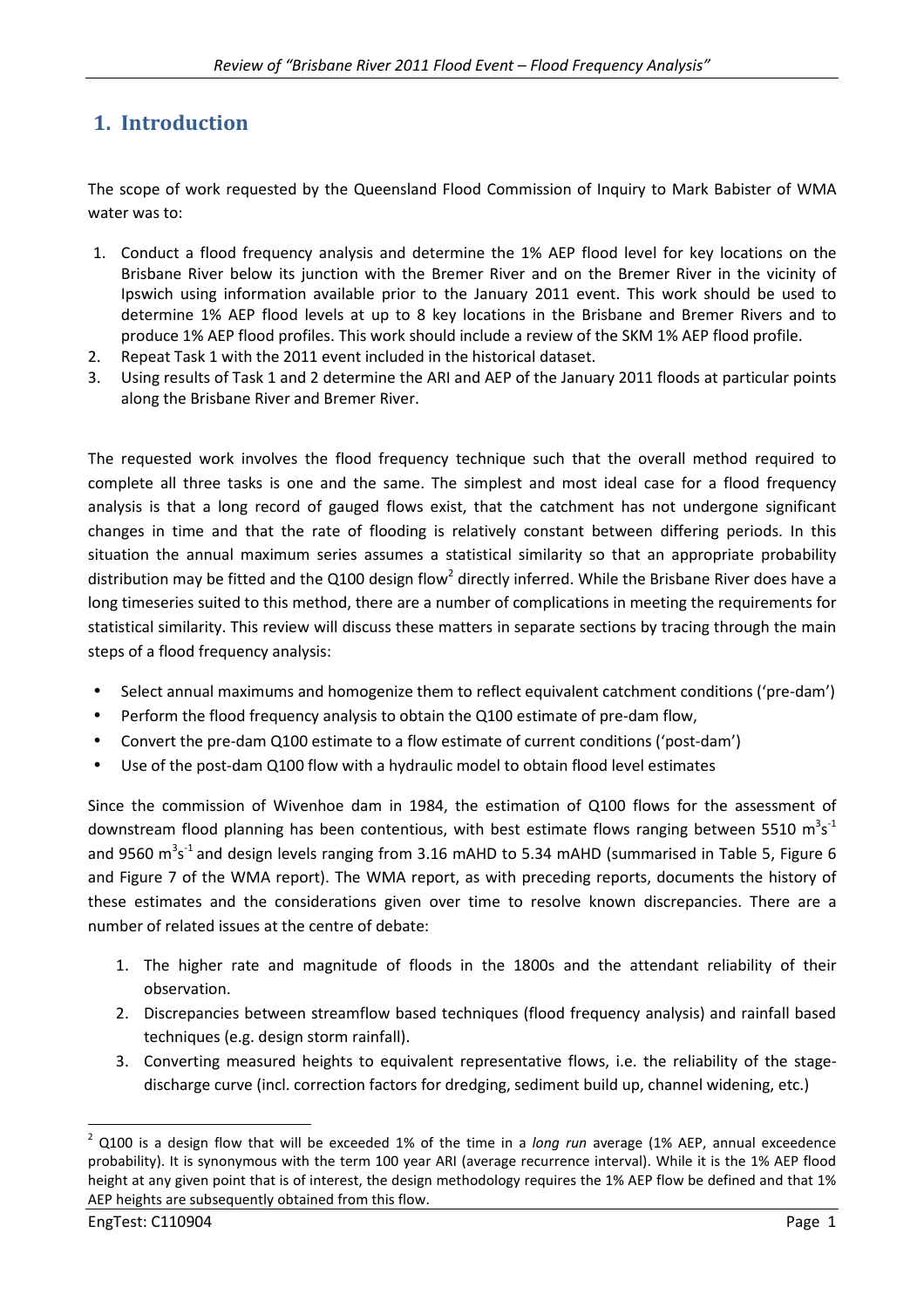# **1. Introduction**

The scope of work requested by the Queensland Flood Commission of Inquiry to Mark Babister of WMA water was to:

- 1. Conduct a flood frequency analysis and determine the 1% AEP flood level for key locations on the Brisbane River below its junction with the Bremer River and on the Bremer River in the vicinity of Ipswich using information available prior to the January 2011 event. This work should be used to determine 1% AEP flood levels at up to 8 key locations in the Brisbane and Bremer Rivers and to produce 1% AEP flood profiles. This work should include a review of the SKM 1% AEP flood profile.
- 2. Repeat Task 1 with the 2011 event included in the historical dataset.
- 3. Using results of Task 1 and 2 determine the ARI and AEP of the January 2011 floods at particular points along the Brisbane River and Bremer River.

The requested work involves the flood frequency technique such that the overall method required to complete all three tasks is one and the same. The simplest and most ideal case for a flood frequency analysis is that a long record of gauged flows exist, that the catchment has not undergone significant changes in time and that the rate of flooding is relatively constant between differing periods. In this situation the annual maximum series assumes a statistical similarity so that an appropriate probability distribution may be fitted and the Q100 design flow<sup>2</sup> directly inferred. While the Brisbane River does have a long timeseries suited to this method, there are a number of complications in meeting the requirements for statistical similarity. This review will discuss these matters in separate sections by tracing through the main steps of a flood frequency analysis:

- Select annual maximums and homogenize them to reflect equivalent catchment conditions ('pre-dam')
- Perform the flood frequency analysis to obtain the Q100 estimate of pre-dam flow,
- Convert the pre-dam Q100 estimate to a flow estimate of current conditions ('post-dam')
- Use of the post-dam Q100 flow with a hydraulic model to obtain flood level estimates

Since the commission of Wivenhoe dam in 1984, the estimation of Q100 flows for the assessment of downstream flood planning has been contentious, with best estimate flows ranging between 5510  $m^3s^{\text{-}1}$ and 9560 m<sup>3</sup>s<sup>-1</sup> and design levels ranging from 3.16 mAHD to 5.34 mAHD (summarised in Table 5, Figure 6 and Figure 7 of the WMA report). The WMA report, as with preceding reports, documents the history of these estimates and the considerations given over time to resolve known discrepancies. There are a number of related issues at the centre of debate:

- 1. The higher rate and magnitude of floods in the 1800s and the attendant reliability of their observation.
- 2. Discrepancies between streamflow based techniques (flood frequency analysis) and rainfall based techniques (e.g. design storm rainfall).
- 3. Converting measured heights to equivalent representative flows, i.e. the reliability of the stagedischarge curve (incl. correction factors for dredging, sediment build up, channel widening, etc.)

 $\overline{\phantom{0}}$ 

<sup>2</sup> Q100 is a design flow that will be exceeded 1% of the time in a *long run* average (1% AEP, annual exceedence probability). It is synonymous with the term 100 year ARI (average recurrence interval). While it is the 1% AEP flood height at any given point that is of interest, the design methodology requires the 1% AEP flow be defined and that 1% AEP heights are subsequently obtained from this flow.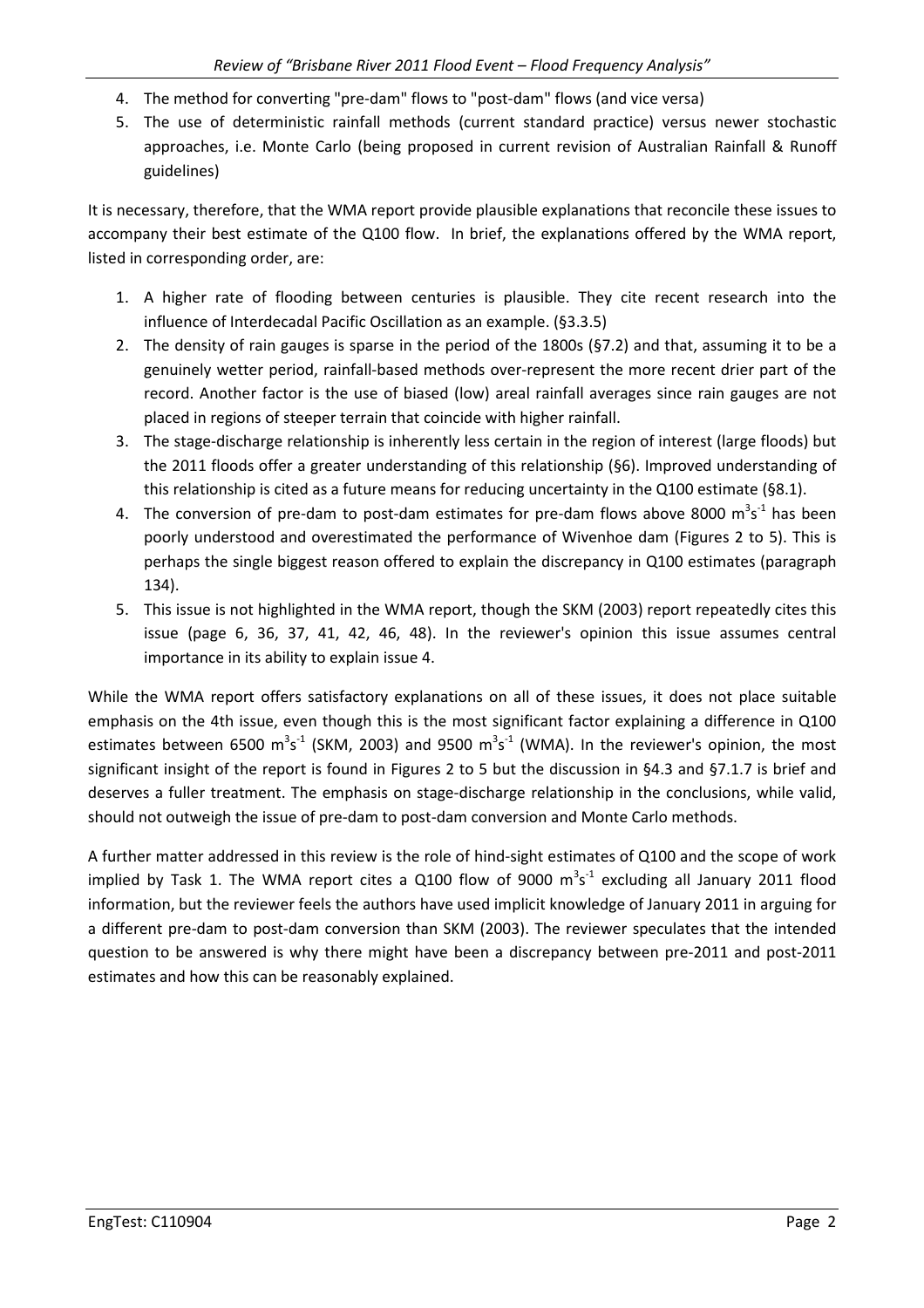- 4. The method for converting "pre-dam" flows to "post-dam" flows (and vice versa)
- 5. The use of deterministic rainfall methods (current standard practice) versus newer stochastic approaches, i.e. Monte Carlo (being proposed in current revision of Australian Rainfall & Runoff guidelines)

It is necessary, therefore, that the WMA report provide plausible explanations that reconcile these issues to accompany their best estimate of the Q100 flow. In brief, the explanations offered by the WMA report, listed in corresponding order, are:

- 1. A higher rate of flooding between centuries is plausible. They cite recent research into the influence of Interdecadal Pacific Oscillation as an example. (§3.3.5)
- 2. The density of rain gauges is sparse in the period of the 1800s (§7.2) and that, assuming it to be a genuinely wetter period, rainfall-based methods over-represent the more recent drier part of the record. Another factor is the use of biased (low) areal rainfall averages since rain gauges are not placed in regions of steeper terrain that coincide with higher rainfall.
- 3. The stage-discharge relationship is inherently less certain in the region of interest (large floods) but the 2011 floods offer a greater understanding of this relationship (§6). Improved understanding of this relationship is cited as a future means for reducing uncertainty in the Q100 estimate (§8.1).
- 4. The conversion of pre-dam to post-dam estimates for pre-dam flows above 8000  $\text{m}^3\text{s}^{-1}$  has been poorly understood and overestimated the performance of Wivenhoe dam (Figures 2 to 5). This is perhaps the single biggest reason offered to explain the discrepancy in Q100 estimates (paragraph 134).
- 5. This issue is not highlighted in the WMA report, though the SKM (2003) report repeatedly cites this issue (page 6, 36, 37, 41, 42, 46, 48). In the reviewer's opinion this issue assumes central importance in its ability to explain issue 4.

While the WMA report offers satisfactory explanations on all of these issues, it does not place suitable emphasis on the 4th issue, even though this is the most significant factor explaining a difference in Q100 estimates between 6500 m<sup>3</sup>s<sup>-1</sup> (SKM, 2003) and 9500 m<sup>3</sup>s<sup>-1</sup> (WMA). In the reviewer's opinion, the most significant insight of the report is found in Figures 2 to 5 but the discussion in §4.3 and §7.1.7 is brief and deserves a fuller treatment. The emphasis on stage-discharge relationship in the conclusions, while valid, should not outweigh the issue of pre-dam to post-dam conversion and Monte Carlo methods.

A further matter addressed in this review is the role of hind-sight estimates of Q100 and the scope of work implied by Task 1. The WMA report cites a Q100 flow of 9000  $m^3s^{-1}$  excluding all January 2011 flood information, but the reviewer feels the authors have used implicit knowledge of January 2011 in arguing for a different pre-dam to post-dam conversion than SKM (2003). The reviewer speculates that the intended question to be answered is why there might have been a discrepancy between pre-2011 and post-2011 estimates and how this can be reasonably explained.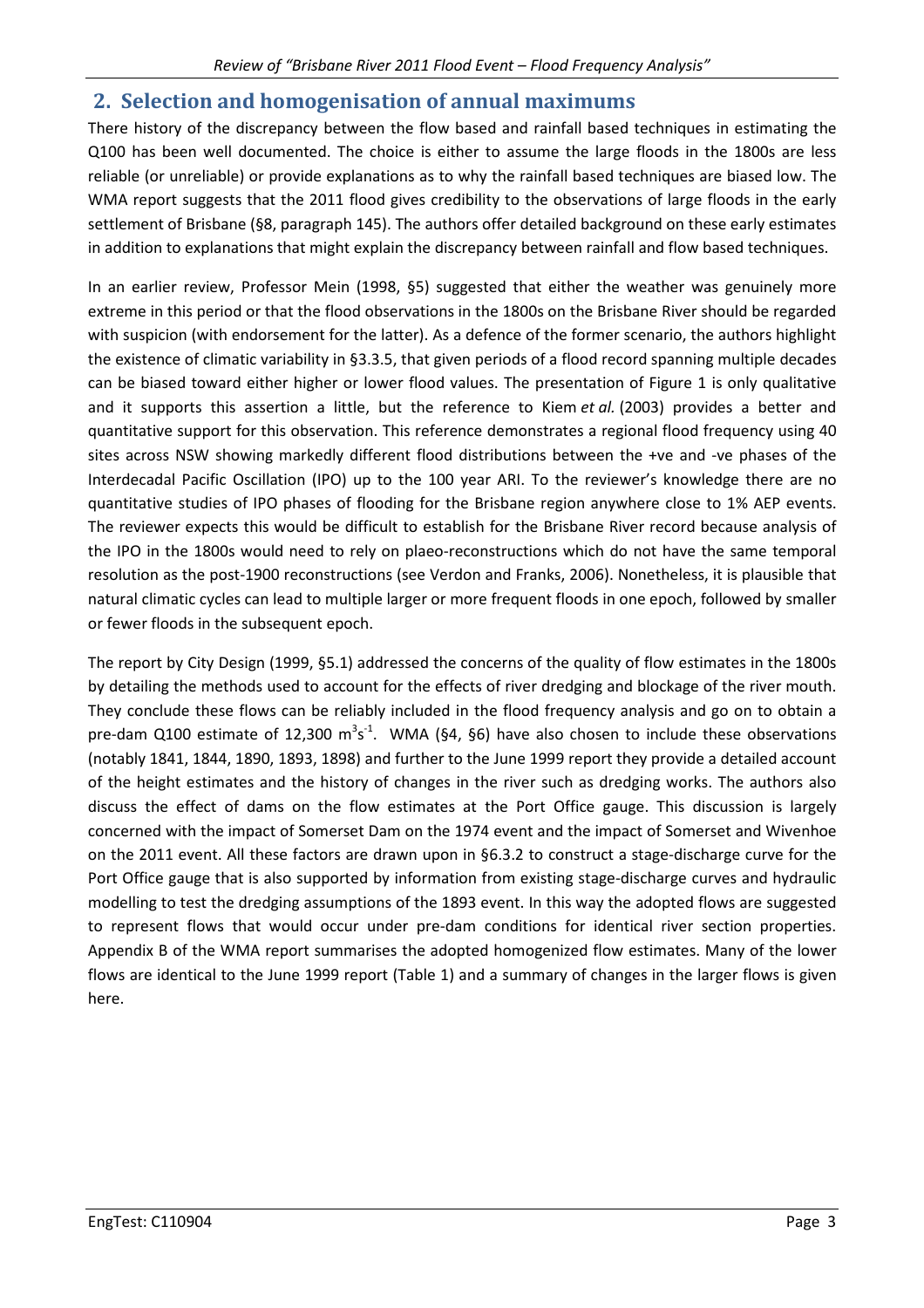### **2. Selection and homogenisation of annual maximums**

There history of the discrepancy between the flow based and rainfall based techniques in estimating the Q100 has been well documented. The choice is either to assume the large floods in the 1800s are less reliable (or unreliable) or provide explanations as to why the rainfall based techniques are biased low. The WMA report suggests that the 2011 flood gives credibility to the observations of large floods in the early settlement of Brisbane (§8, paragraph 145). The authors offer detailed background on these early estimates in addition to explanations that might explain the discrepancy between rainfall and flow based techniques.

In an earlier review, Professor Mein (1998, §5) suggested that either the weather was genuinely more extreme in this period or that the flood observations in the 1800s on the Brisbane River should be regarded with suspicion (with endorsement for the latter). As a defence of the former scenario, the authors highlight the existence of climatic variability in §3.3.5, that given periods of a flood record spanning multiple decades can be biased toward either higher or lower flood values. The presentation of Figure 1 is only qualitative and it supports this assertion a little, but the reference to Kiem *et al.* (2003) provides a better and quantitative support for this observation. This reference demonstrates a regional flood frequency using 40 sites across NSW showing markedly different flood distributions between the +ve and -ve phases of the Interdecadal Pacific Oscillation (IPO) up to the 100 year ARI. To the reviewer's knowledge there are no quantitative studies of IPO phases of flooding for the Brisbane region anywhere close to 1% AEP events. The reviewer expects this would be difficult to establish for the Brisbane River record because analysis of the IPO in the 1800s would need to rely on plaeo-reconstructions which do not have the same temporal resolution as the post-1900 reconstructions (see Verdon and Franks, 2006). Nonetheless, it is plausible that natural climatic cycles can lead to multiple larger or more frequent floods in one epoch, followed by smaller or fewer floods in the subsequent epoch.

The report by City Design (1999, §5.1) addressed the concerns of the quality of flow estimates in the 1800s by detailing the methods used to account for the effects of river dredging and blockage of the river mouth. They conclude these flows can be reliably included in the flood frequency analysis and go on to obtain a pre-dam Q100 estimate of 12,300  $m^3s^1$ . WMA (§4, §6) have also chosen to include these observations (notably 1841, 1844, 1890, 1893, 1898) and further to the June 1999 report they provide a detailed account of the height estimates and the history of changes in the river such as dredging works. The authors also discuss the effect of dams on the flow estimates at the Port Office gauge. This discussion is largely concerned with the impact of Somerset Dam on the 1974 event and the impact of Somerset and Wivenhoe on the 2011 event. All these factors are drawn upon in §6.3.2 to construct a stage-discharge curve for the Port Office gauge that is also supported by information from existing stage-discharge curves and hydraulic modelling to test the dredging assumptions of the 1893 event. In this way the adopted flows are suggested to represent flows that would occur under pre-dam conditions for identical river section properties. Appendix B of the WMA report summarises the adopted homogenized flow estimates. Many of the lower flows are identical to the June 1999 report (Table 1) and a summary of changes in the larger flows is given here.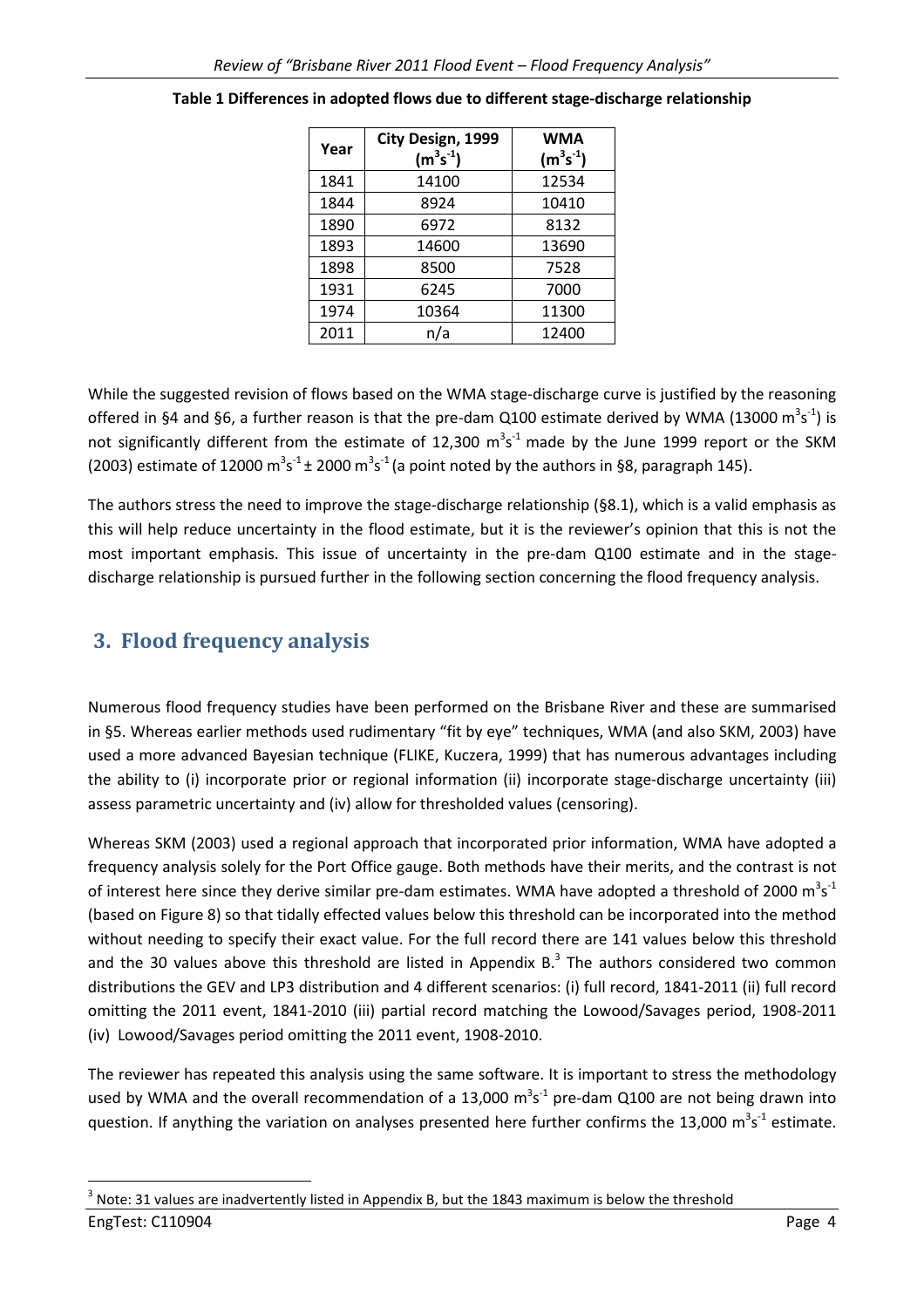| Year | City Design, 1999<br>$(m^3s^{-1})$ | <b>WMA</b><br>$(m^3s^{-1})$ |
|------|------------------------------------|-----------------------------|
| 1841 | 14100                              | 12534                       |
| 1844 | 8924                               | 10410                       |
| 1890 | 6972                               | 8132                        |
| 1893 | 14600                              | 13690                       |
| 1898 | 8500                               | 7528                        |
| 1931 | 6245                               | 7000                        |
| 1974 | 10364                              | 11300                       |
| 2011 | n/a                                | 12400                       |

While the suggested revision of flows based on the WMA stage-discharge curve is justified by the reasoning offered in §4 and §6, a further reason is that the pre-dam Q100 estimate derived by WMA (13000  $m^3s^{\text{-}1}$ ) is not significantly different from the estimate of 12,300  $\text{m}^3\text{s}^{-1}$  made by the June 1999 report or the SKM (2003) estimate of 12000 m<sup>3</sup>s<sup>-1</sup> ± 2000 m<sup>3</sup>s<sup>-1</sup> (a point noted by the authors in §8, paragraph 145).

The authors stress the need to improve the stage-discharge relationship (§8.1), which is a valid emphasis as this will help reduce uncertainty in the flood estimate, but it is the reviewer's opinion that this is not the most important emphasis. This issue of uncertainty in the pre-dam Q100 estimate and in the stagedischarge relationship is pursued further in the following section concerning the flood frequency analysis.

## **3. Flood frequency analysis**

l

Numerous flood frequency studies have been performed on the Brisbane River and these are summarised in §5. Whereas earlier methods used rudimentary "fit by eye" techniques, WMA (and also SKM, 2003) have used a more advanced Bayesian technique (FLIKE, Kuczera, 1999) that has numerous advantages including the ability to (i) incorporate prior or regional information (ii) incorporate stage-discharge uncertainty (iii) assess parametric uncertainty and (iv) allow for thresholded values (censoring).

Whereas SKM (2003) used a regional approach that incorporated prior information, WMA have adopted a frequency analysis solely for the Port Office gauge. Both methods have their merits, and the contrast is not of interest here since they derive similar pre-dam estimates. WMA have adopted a threshold of 2000  $\text{m}^3\text{s}^{-1}$ (based on Figure 8) so that tidally effected values below this threshold can be incorporated into the method without needing to specify their exact value. For the full record there are 141 values below this threshold and the 30 values above this threshold are listed in Appendix B. $^3$  The authors considered two common distributions the GEV and LP3 distribution and 4 different scenarios: (i) full record, 1841-2011 (ii) full record omitting the 2011 event, 1841-2010 (iii) partial record matching the Lowood/Savages period, 1908-2011 (iv) Lowood/Savages period omitting the 2011 event, 1908-2010.

The reviewer has repeated this analysis using the same software. It is important to stress the methodology used by WMA and the overall recommendation of a 13,000  $m^3s^{-1}$  pre-dam Q100 are not being drawn into question. If anything the variation on analyses presented here further confirms the 13,000  $\text{m}^3\text{s}^{-1}$  estimate.

EngTest: C110904 Page 4 3 Note: 31 values are inadvertently listed in Appendix B, but the 1843 maximum is below the threshold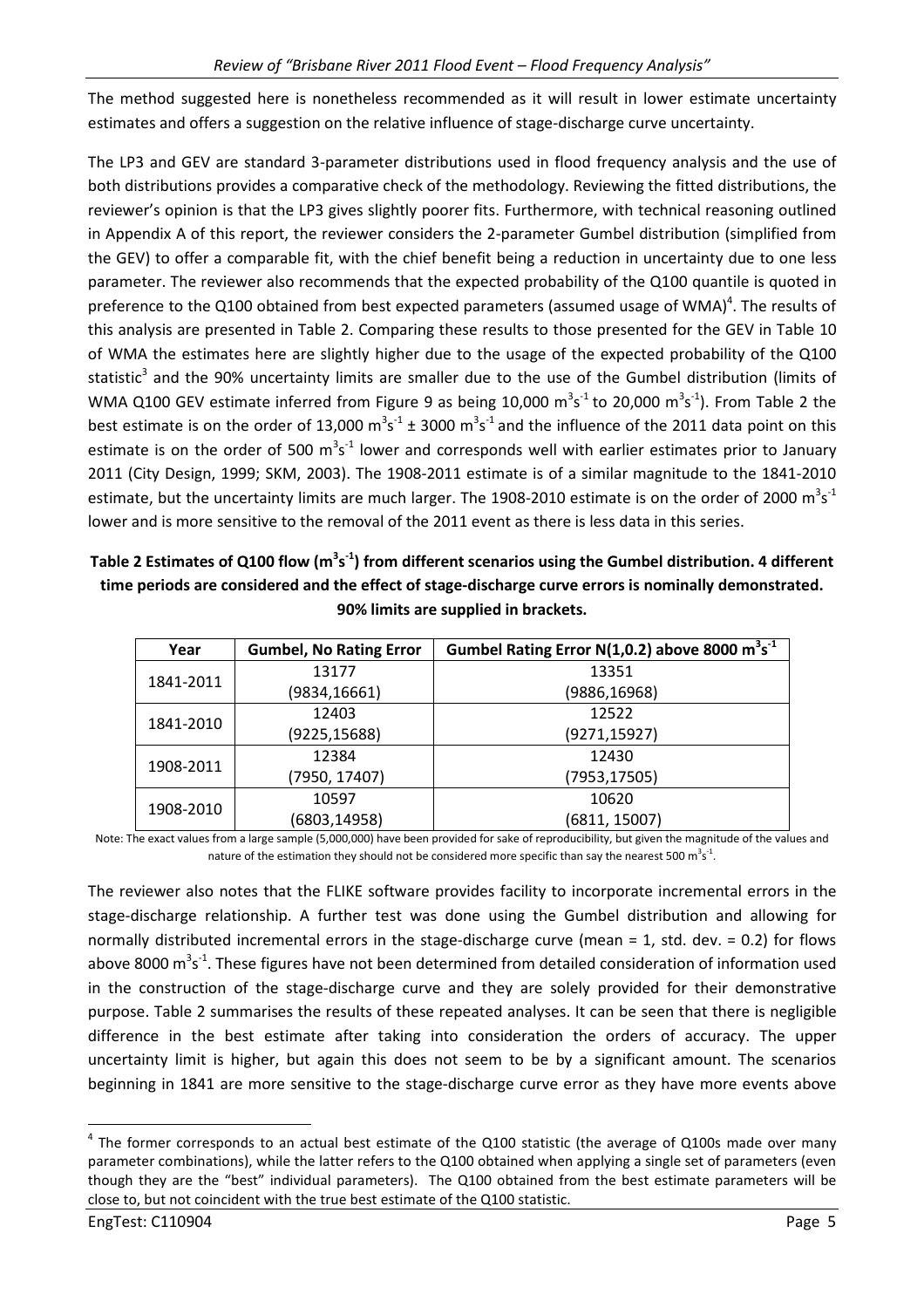The method suggested here is nonetheless recommended as it will result in lower estimate uncertainty estimates and offers a suggestion on the relative influence of stage-discharge curve uncertainty.

The LP3 and GEV are standard 3-parameter distributions used in flood frequency analysis and the use of both distributions provides a comparative check of the methodology. Reviewing the fitted distributions, the reviewer's opinion is that the LP3 gives slightly poorer fits. Furthermore, with technical reasoning outlined in Appendix A of this report, the reviewer considers the 2-parameter Gumbel distribution (simplified from the GEV) to offer a comparable fit, with the chief benefit being a reduction in uncertainty due to one less parameter. The reviewer also recommends that the expected probability of the Q100 quantile is quoted in preference to the Q100 obtained from best expected parameters (assumed usage of WMA)<sup>4</sup>. The results of this analysis are presented in Table 2. Comparing these results to those presented for the GEV in Table 10 of WMA the estimates here are slightly higher due to the usage of the expected probability of the Q100 statistic<sup>3</sup> and the 90% uncertainty limits are smaller due to the use of the Gumbel distribution (limits of WMA Q100 GEV estimate inferred from Figure 9 as being 10,000  $\text{m}^3\text{s}^{-1}$  to 20,000  $\text{m}^3\text{s}^{-1}$ ). From Table 2 the best estimate is on the order of 13,000  $m^3s^{-1} \pm 3000$   $m^3s^{-1}$  and the influence of the 2011 data point on this estimate is on the order of 500  $m^3s^{-1}$  lower and corresponds well with earlier estimates prior to January 2011 (City Design, 1999; SKM, 2003). The 1908-2011 estimate is of a similar magnitude to the 1841-2010 estimate, but the uncertainty limits are much larger. The 1908-2010 estimate is on the order of 2000  $m^3s^4$ lower and is more sensitive to the removal of the 2011 event as there is less data in this series.

**Table 2 Estimates of Q100 flow (m<sup>3</sup> s -1) from different scenarios using the Gumbel distribution. 4 different time periods are considered and the effect of stage-discharge curve errors is nominally demonstrated. 90% limits are supplied in brackets.** 

| Year      | <b>Gumbel, No Rating Error</b> | Gumbel Rating Error N(1,0.2) above 8000 m <sup>3</sup> s <sup>-1</sup> |
|-----------|--------------------------------|------------------------------------------------------------------------|
| 1841-2011 | 13177                          | 13351                                                                  |
|           | (9834,16661)                   | (9886,16968)                                                           |
|           | 12403                          | 12522                                                                  |
| 1841-2010 | (9225, 15688)                  | (9271,15927)                                                           |
|           | 12384                          | 12430                                                                  |
| 1908-2011 | (7950, 17407)                  | (7953,17505)                                                           |
|           | 10597                          | 10620                                                                  |
| 1908-2010 | (6803,14958)                   | (6811, 15007)                                                          |

Note: The exact values from a large sample (5,000,000) have been provided for sake of reproducibility, but given the magnitude of the values and nature of the estimation they should not be considered more specific than say the nearest 500 m<sup>3</sup>s<sup>-1</sup>.

The reviewer also notes that the FLIKE software provides facility to incorporate incremental errors in the stage-discharge relationship. A further test was done using the Gumbel distribution and allowing for normally distributed incremental errors in the stage-discharge curve (mean = 1, std. dev. = 0.2) for flows above 8000 m<sup>3</sup>s<sup>-1</sup>. These figures have not been determined from detailed consideration of information used in the construction of the stage-discharge curve and they are solely provided for their demonstrative purpose. Table 2 summarises the results of these repeated analyses. It can be seen that there is negligible difference in the best estimate after taking into consideration the orders of accuracy. The upper uncertainty limit is higher, but again this does not seem to be by a significant amount. The scenarios beginning in 1841 are more sensitive to the stage-discharge curve error as they have more events above

 $\overline{\phantom{0}}$ 

 $^4$  The former corresponds to an actual best estimate of the Q100 statistic (the average of Q100s made over many parameter combinations), while the latter refers to the Q100 obtained when applying a single set of parameters (even though they are the "best" individual parameters). The Q100 obtained from the best estimate parameters will be close to, but not coincident with the true best estimate of the Q100 statistic.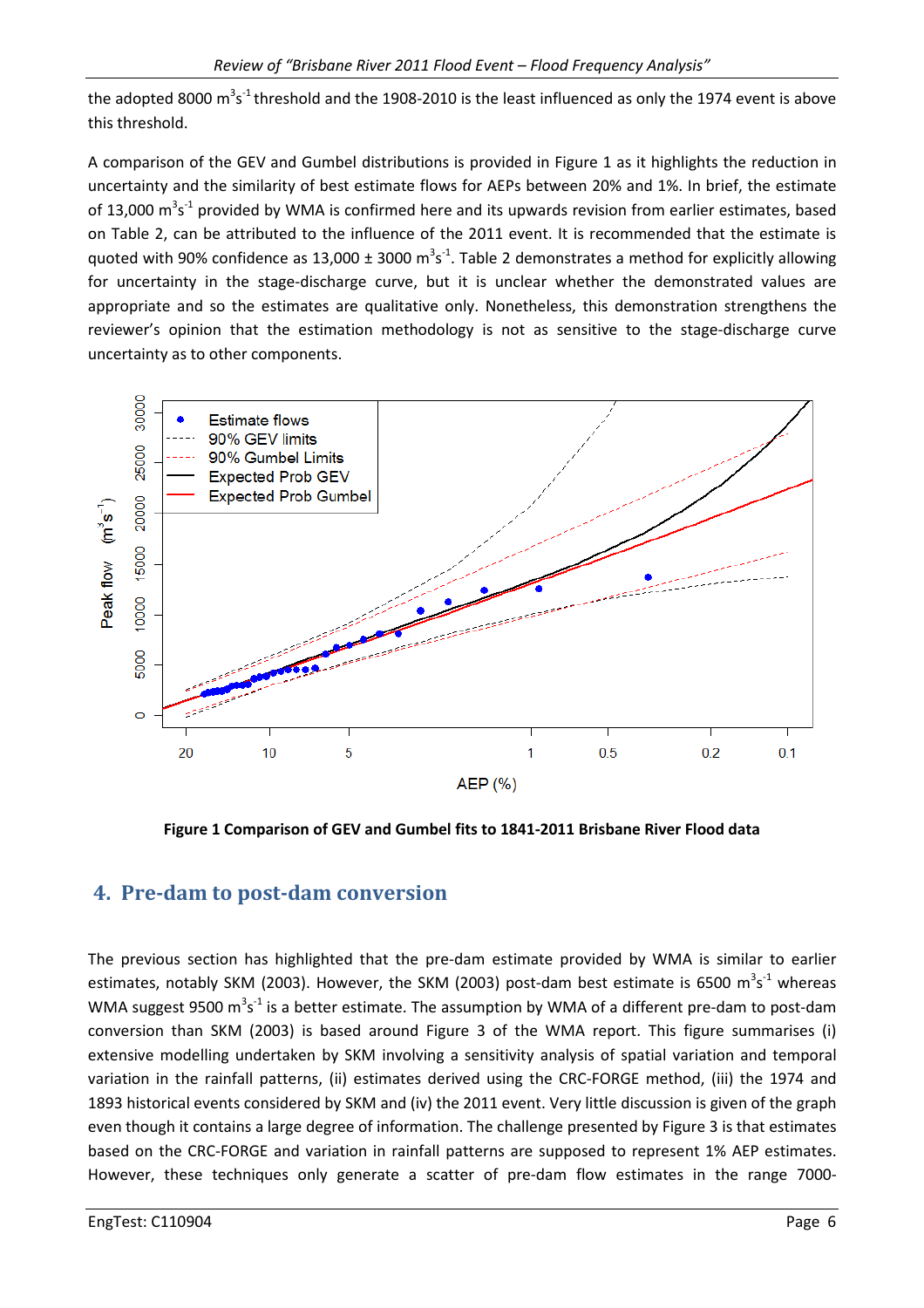the adopted 8000 m<sup>3</sup>s<sup>-1</sup> threshold and the 1908-2010 is the least influenced as only the 1974 event is above this threshold.

A comparison of the GEV and Gumbel distributions is provided in Figure 1 as it highlights the reduction in uncertainty and the similarity of best estimate flows for AEPs between 20% and 1%. In brief, the estimate of 13,000  $\text{m}^3\text{s}^{-1}$  provided by WMA is confirmed here and its upwards revision from earlier estimates, based on Table 2, can be attributed to the influence of the 2011 event. It is recommended that the estimate is quoted with 90% confidence as 13,000  $\pm$  3000 m<sup>3</sup>s<sup>-1</sup>. Table 2 demonstrates a method for explicitly allowing for uncertainty in the stage-discharge curve, but it is unclear whether the demonstrated values are appropriate and so the estimates are qualitative only. Nonetheless, this demonstration strengthens the reviewer's opinion that the estimation methodology is not as sensitive to the stage-discharge curve uncertainty as to other components.



**Figure 1 Comparison of GEV and Gumbel fits to 1841-2011 Brisbane River Flood data** 

## **4. Pre-dam to post-dam conversion**

The previous section has highlighted that the pre-dam estimate provided by WMA is similar to earlier estimates, notably SKM (2003). However, the SKM (2003) post-dam best estimate is 6500  $\text{m}^3\text{s}^{-1}$  whereas WMA suggest 9500 m<sup>3</sup>s<sup>-1</sup> is a better estimate. The assumption by WMA of a different pre-dam to post-dam conversion than SKM (2003) is based around Figure 3 of the WMA report. This figure summarises (i) extensive modelling undertaken by SKM involving a sensitivity analysis of spatial variation and temporal variation in the rainfall patterns, (ii) estimates derived using the CRC-FORGE method, (iii) the 1974 and 1893 historical events considered by SKM and (iv) the 2011 event. Very little discussion is given of the graph even though it contains a large degree of information. The challenge presented by Figure 3 is that estimates based on the CRC-FORGE and variation in rainfall patterns are supposed to represent 1% AEP estimates. However, these techniques only generate a scatter of pre-dam flow estimates in the range 7000-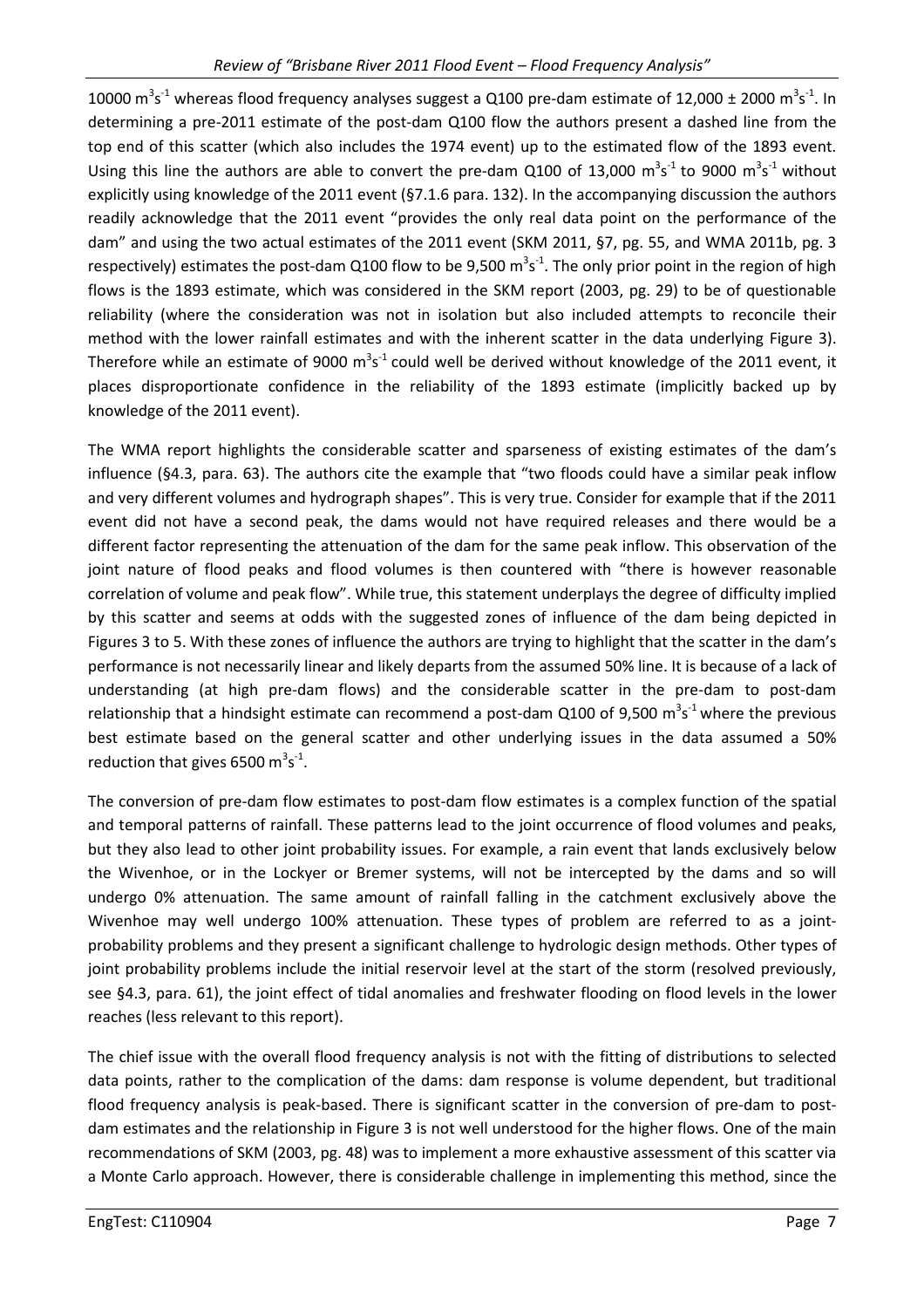10000  $\text{m}^3\text{s}^{-1}$  whereas flood frequency analyses suggest a Q100 pre-dam estimate of 12,000 ± 2000  $\text{m}^3\text{s}^{-1}$ . In determining a pre-2011 estimate of the post-dam Q100 flow the authors present a dashed line from the top end of this scatter (which also includes the 1974 event) up to the estimated flow of the 1893 event. Using this line the authors are able to convert the pre-dam Q100 of 13,000  $\text{m}^3\text{s}^{-1}$  to 9000  $\text{m}^3\text{s}^{-1}$  without explicitly using knowledge of the 2011 event (§7.1.6 para. 132). In the accompanying discussion the authors readily acknowledge that the 2011 event "provides the only real data point on the performance of the dam" and using the two actual estimates of the 2011 event (SKM 2011, §7, pg. 55, and WMA 2011b, pg. 3 respectively) estimates the post-dam Q100 flow to be 9,500  $m^3s^{\text{-}1}$ . The only prior point in the region of high flows is the 1893 estimate, which was considered in the SKM report (2003, pg. 29) to be of questionable reliability (where the consideration was not in isolation but also included attempts to reconcile their method with the lower rainfall estimates and with the inherent scatter in the data underlying Figure 3). Therefore while an estimate of 9000  $m^3s^1$  could well be derived without knowledge of the 2011 event, it places disproportionate confidence in the reliability of the 1893 estimate (implicitly backed up by knowledge of the 2011 event).

The WMA report highlights the considerable scatter and sparseness of existing estimates of the dam's influence (§4.3, para. 63). The authors cite the example that "two floods could have a similar peak inflow and very different volumes and hydrograph shapes". This is very true. Consider for example that if the 2011 event did not have a second peak, the dams would not have required releases and there would be a different factor representing the attenuation of the dam for the same peak inflow. This observation of the joint nature of flood peaks and flood volumes is then countered with "there is however reasonable correlation of volume and peak flow". While true, this statement underplays the degree of difficulty implied by this scatter and seems at odds with the suggested zones of influence of the dam being depicted in Figures 3 to 5. With these zones of influence the authors are trying to highlight that the scatter in the dam's performance is not necessarily linear and likely departs from the assumed 50% line. It is because of a lack of understanding (at high pre-dam flows) and the considerable scatter in the pre-dam to post-dam relationship that a hindsight estimate can recommend a post-dam Q100 of 9,500  $\text{m}^3\text{s}^{-1}$  where the previous best estimate based on the general scatter and other underlying issues in the data assumed a 50% reduction that gives 6500  $m^3s^1$ .

The conversion of pre-dam flow estimates to post-dam flow estimates is a complex function of the spatial and temporal patterns of rainfall. These patterns lead to the joint occurrence of flood volumes and peaks, but they also lead to other joint probability issues. For example, a rain event that lands exclusively below the Wivenhoe, or in the Lockyer or Bremer systems, will not be intercepted by the dams and so will undergo 0% attenuation. The same amount of rainfall falling in the catchment exclusively above the Wivenhoe may well undergo 100% attenuation. These types of problem are referred to as a jointprobability problems and they present a significant challenge to hydrologic design methods. Other types of joint probability problems include the initial reservoir level at the start of the storm (resolved previously, see §4.3, para. 61), the joint effect of tidal anomalies and freshwater flooding on flood levels in the lower reaches (less relevant to this report).

The chief issue with the overall flood frequency analysis is not with the fitting of distributions to selected data points, rather to the complication of the dams: dam response is volume dependent, but traditional flood frequency analysis is peak-based. There is significant scatter in the conversion of pre-dam to postdam estimates and the relationship in Figure 3 is not well understood for the higher flows. One of the main recommendations of SKM (2003, pg. 48) was to implement a more exhaustive assessment of this scatter via a Monte Carlo approach. However, there is considerable challenge in implementing this method, since the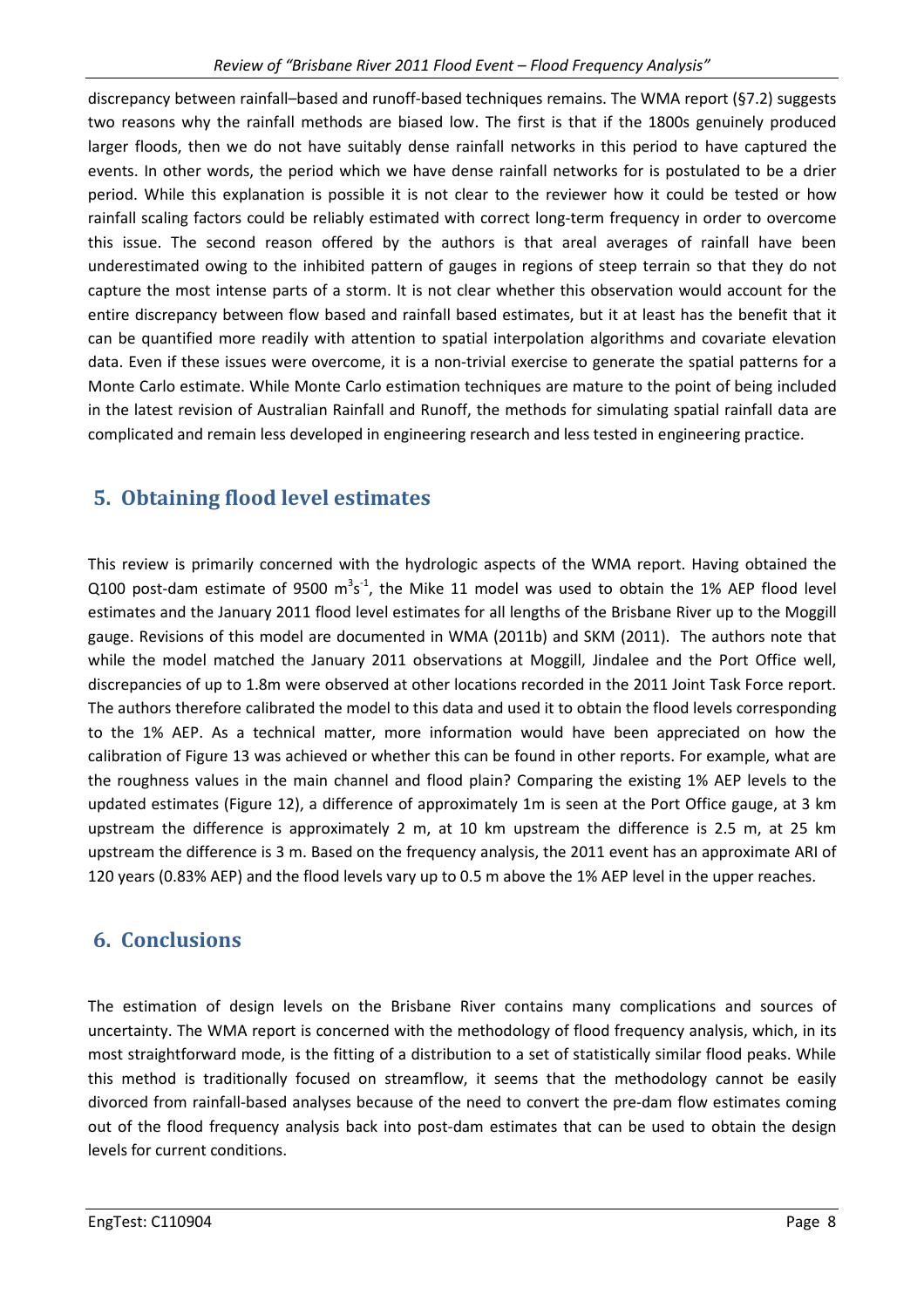discrepancy between rainfall–based and runoff-based techniques remains. The WMA report (§7.2) suggests two reasons why the rainfall methods are biased low. The first is that if the 1800s genuinely produced larger floods, then we do not have suitably dense rainfall networks in this period to have captured the events. In other words, the period which we have dense rainfall networks for is postulated to be a drier period. While this explanation is possible it is not clear to the reviewer how it could be tested or how rainfall scaling factors could be reliably estimated with correct long-term frequency in order to overcome this issue. The second reason offered by the authors is that areal averages of rainfall have been underestimated owing to the inhibited pattern of gauges in regions of steep terrain so that they do not capture the most intense parts of a storm. It is not clear whether this observation would account for the entire discrepancy between flow based and rainfall based estimates, but it at least has the benefit that it can be quantified more readily with attention to spatial interpolation algorithms and covariate elevation data. Even if these issues were overcome, it is a non-trivial exercise to generate the spatial patterns for a Monte Carlo estimate. While Monte Carlo estimation techniques are mature to the point of being included in the latest revision of Australian Rainfall and Runoff, the methods for simulating spatial rainfall data are complicated and remain less developed in engineering research and less tested in engineering practice.

# **5. Obtaining flood level estimates**

This review is primarily concerned with the hydrologic aspects of the WMA report. Having obtained the Q100 post-dam estimate of 9500  $m^3s^1$ , the Mike 11 model was used to obtain the 1% AEP flood level estimates and the January 2011 flood level estimates for all lengths of the Brisbane River up to the Moggill gauge. Revisions of this model are documented in WMA (2011b) and SKM (2011). The authors note that while the model matched the January 2011 observations at Moggill, Jindalee and the Port Office well, discrepancies of up to 1.8m were observed at other locations recorded in the 2011 Joint Task Force report. The authors therefore calibrated the model to this data and used it to obtain the flood levels corresponding to the 1% AEP. As a technical matter, more information would have been appreciated on how the calibration of Figure 13 was achieved or whether this can be found in other reports. For example, what are the roughness values in the main channel and flood plain? Comparing the existing 1% AEP levels to the updated estimates (Figure 12), a difference of approximately 1m is seen at the Port Office gauge, at 3 km upstream the difference is approximately 2 m, at 10 km upstream the difference is 2.5 m, at 25 km upstream the difference is 3 m. Based on the frequency analysis, the 2011 event has an approximate ARI of 120 years (0.83% AEP) and the flood levels vary up to 0.5 m above the 1% AEP level in the upper reaches.

## **6. Conclusions**

The estimation of design levels on the Brisbane River contains many complications and sources of uncertainty. The WMA report is concerned with the methodology of flood frequency analysis, which, in its most straightforward mode, is the fitting of a distribution to a set of statistically similar flood peaks. While this method is traditionally focused on streamflow, it seems that the methodology cannot be easily divorced from rainfall-based analyses because of the need to convert the pre-dam flow estimates coming out of the flood frequency analysis back into post-dam estimates that can be used to obtain the design levels for current conditions.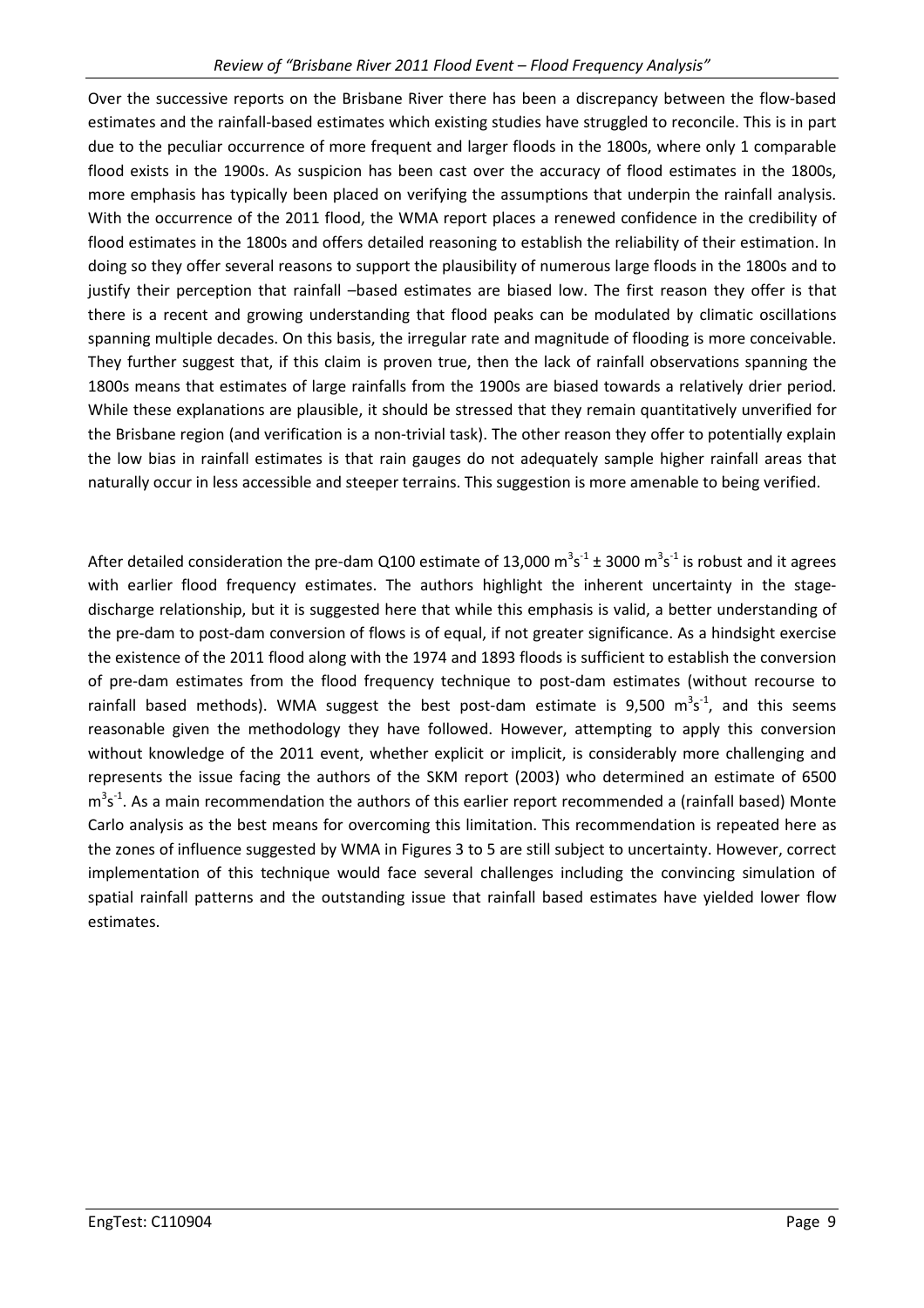Over the successive reports on the Brisbane River there has been a discrepancy between the flow-based estimates and the rainfall-based estimates which existing studies have struggled to reconcile. This is in part due to the peculiar occurrence of more frequent and larger floods in the 1800s, where only 1 comparable flood exists in the 1900s. As suspicion has been cast over the accuracy of flood estimates in the 1800s, more emphasis has typically been placed on verifying the assumptions that underpin the rainfall analysis. With the occurrence of the 2011 flood, the WMA report places a renewed confidence in the credibility of flood estimates in the 1800s and offers detailed reasoning to establish the reliability of their estimation. In doing so they offer several reasons to support the plausibility of numerous large floods in the 1800s and to justify their perception that rainfall –based estimates are biased low. The first reason they offer is that there is a recent and growing understanding that flood peaks can be modulated by climatic oscillations spanning multiple decades. On this basis, the irregular rate and magnitude of flooding is more conceivable. They further suggest that, if this claim is proven true, then the lack of rainfall observations spanning the 1800s means that estimates of large rainfalls from the 1900s are biased towards a relatively drier period. While these explanations are plausible, it should be stressed that they remain quantitatively unverified for the Brisbane region (and verification is a non-trivial task). The other reason they offer to potentially explain the low bias in rainfall estimates is that rain gauges do not adequately sample higher rainfall areas that naturally occur in less accessible and steeper terrains. This suggestion is more amenable to being verified.

After detailed consideration the pre-dam Q100 estimate of 13,000  $\text{m}^3\text{s}^{-1}$  ± 3000  $\text{m}^3\text{s}^{-1}$  is robust and it agrees with earlier flood frequency estimates. The authors highlight the inherent uncertainty in the stagedischarge relationship, but it is suggested here that while this emphasis is valid, a better understanding of the pre-dam to post-dam conversion of flows is of equal, if not greater significance. As a hindsight exercise the existence of the 2011 flood along with the 1974 and 1893 floods is sufficient to establish the conversion of pre-dam estimates from the flood frequency technique to post-dam estimates (without recourse to rainfall based methods). WMA suggest the best post-dam estimate is 9,500  $m^3s^3$ , and this seems reasonable given the methodology they have followed. However, attempting to apply this conversion without knowledge of the 2011 event, whether explicit or implicit, is considerably more challenging and represents the issue facing the authors of the SKM report (2003) who determined an estimate of 6500  $m^3s^1$ . As a main recommendation the authors of this earlier report recommended a (rainfall based) Monte Carlo analysis as the best means for overcoming this limitation. This recommendation is repeated here as the zones of influence suggested by WMA in Figures 3 to 5 are still subject to uncertainty. However, correct implementation of this technique would face several challenges including the convincing simulation of spatial rainfall patterns and the outstanding issue that rainfall based estimates have yielded lower flow estimates.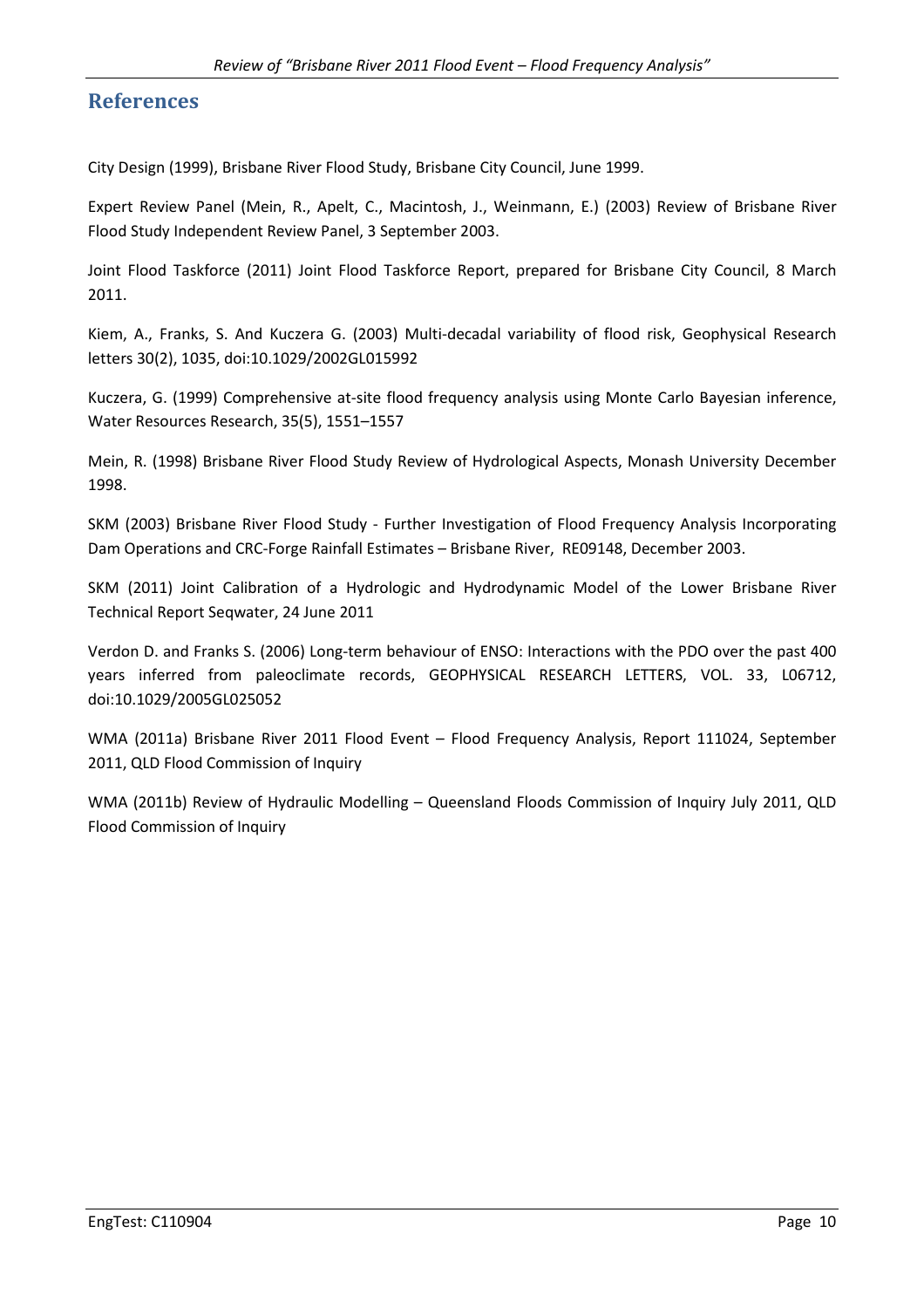#### **References**

City Design (1999), Brisbane River Flood Study, Brisbane City Council, June 1999.

Expert Review Panel (Mein, R., Apelt, C., Macintosh, J., Weinmann, E.) (2003) Review of Brisbane River Flood Study Independent Review Panel, 3 September 2003.

Joint Flood Taskforce (2011) Joint Flood Taskforce Report, prepared for Brisbane City Council, 8 March 2011.

Kiem, A., Franks, S. And Kuczera G. (2003) Multi-decadal variability of flood risk, Geophysical Research letters 30(2), 1035, doi:10.1029/2002GL015992

Kuczera, G. (1999) Comprehensive at-site flood frequency analysis using Monte Carlo Bayesian inference, Water Resources Research, 35(5), 1551–1557

Mein, R. (1998) Brisbane River Flood Study Review of Hydrological Aspects, Monash University December 1998.

SKM (2003) Brisbane River Flood Study - Further Investigation of Flood Frequency Analysis Incorporating Dam Operations and CRC-Forge Rainfall Estimates – Brisbane River, RE09148, December 2003.

SKM (2011) Joint Calibration of a Hydrologic and Hydrodynamic Model of the Lower Brisbane River Technical Report Seqwater, 24 June 2011

Verdon D. and Franks S. (2006) Long-term behaviour of ENSO: Interactions with the PDO over the past 400 years inferred from paleoclimate records, GEOPHYSICAL RESEARCH LETTERS, VOL. 33, L06712, doi:10.1029/2005GL025052

WMA (2011a) Brisbane River 2011 Flood Event – Flood Frequency Analysis, Report 111024, September 2011, QLD Flood Commission of Inquiry

WMA (2011b) Review of Hydraulic Modelling – Queensland Floods Commission of Inquiry July 2011, QLD Flood Commission of Inquiry